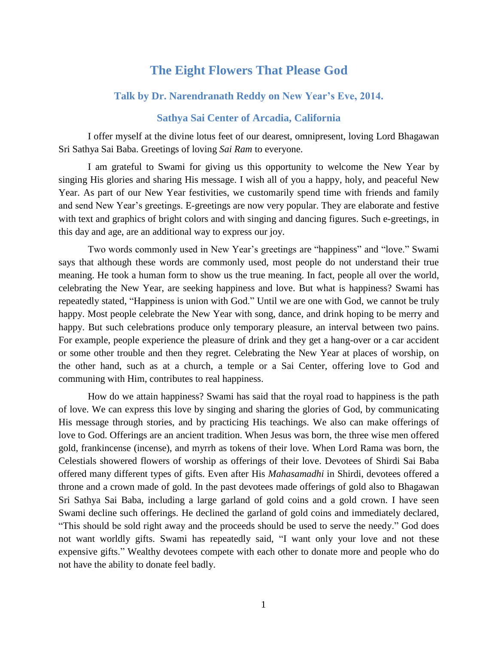## **The Eight Flowers That Please God**

## **Talk by Dr. Narendranath Reddy on New Year's Eve, 2014.**

## **Sathya Sai Center of Arcadia, California**

I offer myself at the divine lotus feet of our dearest, omnipresent, loving Lord Bhagawan Sri Sathya Sai Baba. Greetings of loving *Sai Ram* to everyone.

I am grateful to Swami for giving us this opportunity to welcome the New Year by singing His glories and sharing His message. I wish all of you a happy, holy, and peaceful New Year. As part of our New Year festivities, we customarily spend time with friends and family and send New Year's greetings. E-greetings are now very popular. They are elaborate and festive with text and graphics of bright colors and with singing and dancing figures. Such e-greetings, in this day and age, are an additional way to express our joy.

Two words commonly used in New Year's greetings are "happiness" and "love." Swami says that although these words are commonly used, most people do not understand their true meaning. He took a human form to show us the true meaning. In fact, people all over the world, celebrating the New Year, are seeking happiness and love. But what is happiness? Swami has repeatedly stated, "Happiness is union with God." Until we are one with God, we cannot be truly happy. Most people celebrate the New Year with song, dance, and drink hoping to be merry and happy. But such celebrations produce only temporary pleasure, an interval between two pains. For example, people experience the pleasure of drink and they get a hang-over or a car accident or some other trouble and then they regret. Celebrating the New Year at places of worship, on the other hand, such as at a church, a temple or a Sai Center, offering love to God and communing with Him, contributes to real happiness.

How do we attain happiness? Swami has said that the royal road to happiness is the path of love. We can express this love by singing and sharing the glories of God, by communicating His message through stories, and by practicing His teachings. We also can make offerings of love to God. Offerings are an ancient tradition. When Jesus was born, the three wise men offered gold, frankincense (incense), and myrrh as tokens of their love. When Lord Rama was born, the Celestials showered flowers of worship as offerings of their love. Devotees of Shirdi Sai Baba offered many different types of gifts. Even after His *Mahasamadhi* in Shirdi, devotees offered a throne and a crown made of gold. In the past devotees made offerings of gold also to Bhagawan Sri Sathya Sai Baba, including a large garland of gold coins and a gold crown. I have seen Swami decline such offerings. He declined the garland of gold coins and immediately declared, "This should be sold right away and the proceeds should be used to serve the needy." God does not want worldly gifts. Swami has repeatedly said, "I want only your love and not these expensive gifts." Wealthy devotees compete with each other to donate more and people who do not have the ability to donate feel badly.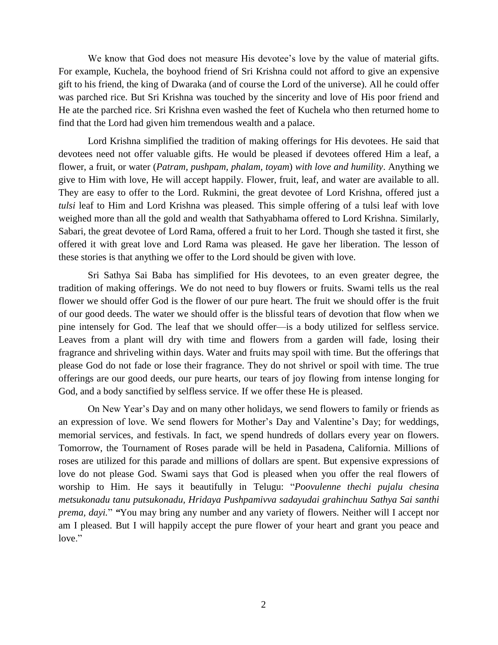We know that God does not measure His devotee's love by the value of material gifts. For example, Kuchela, the boyhood friend of Sri Krishna could not afford to give an expensive gift to his friend, the king of Dwaraka (and of course the Lord of the universe). All he could offer was parched rice. But Sri Krishna was touched by the sincerity and love of His poor friend and He ate the parched rice. Sri Krishna even washed the feet of Kuchela who then returned home to find that the Lord had given him tremendous wealth and a palace.

Lord Krishna simplified the tradition of making offerings for His devotees. He said that devotees need not offer valuable gifts. He would be pleased if devotees offered Him a leaf, a flower, a fruit, or water (*Patram, pushpam, phalam, toyam*) *with love and humility*. Anything we give to Him with love, He will accept happily. Flower, fruit, leaf, and water are available to all. They are easy to offer to the Lord. Rukmini, the great devotee of Lord Krishna, offered just a *tulsi* leaf to Him and Lord Krishna was pleased. This simple offering of a tulsi leaf with love weighed more than all the gold and wealth that Sathyabhama offered to Lord Krishna. Similarly, Sabari, the great devotee of Lord Rama, offered a fruit to her Lord. Though she tasted it first, she offered it with great love and Lord Rama was pleased. He gave her liberation. The lesson of these stories is that anything we offer to the Lord should be given with love.

Sri Sathya Sai Baba has simplified for His devotees, to an even greater degree, the tradition of making offerings. We do not need to buy flowers or fruits. Swami tells us the real flower we should offer God is the flower of our pure heart. The fruit we should offer is the fruit of our good deeds. The water we should offer is the blissful tears of devotion that flow when we pine intensely for God. The leaf that we should offer—is a body utilized for selfless service. Leaves from a plant will dry with time and flowers from a garden will fade, losing their fragrance and shriveling within days. Water and fruits may spoil with time. But the offerings that please God do not fade or lose their fragrance. They do not shrivel or spoil with time. The true offerings are our good deeds, our pure hearts, our tears of joy flowing from intense longing for God, and a body sanctified by selfless service. If we offer these He is pleased.

On New Year's Day and on many other holidays, we send flowers to family or friends as an expression of love. We send flowers for Mother's Day and Valentine's Day; for weddings, memorial services, and festivals. In fact, we spend hundreds of dollars every year on flowers. Tomorrow, the Tournament of Roses parade will be held in Pasadena, California. Millions of roses are utilized for this parade and millions of dollars are spent. But expensive expressions of love do not please God. Swami says that God is pleased when you offer the real flowers of worship to Him. He says it beautifully in Telugu: "*Poovulenne thechi pujalu chesina metsukonadu tanu putsukonadu, Hridaya Pushpamivva sadayudai grahinchuu Sathya Sai santhi prema, dayi.*" *"*You may bring any number and any variety of flowers. Neither will I accept nor am I pleased. But I will happily accept the pure flower of your heart and grant you peace and love."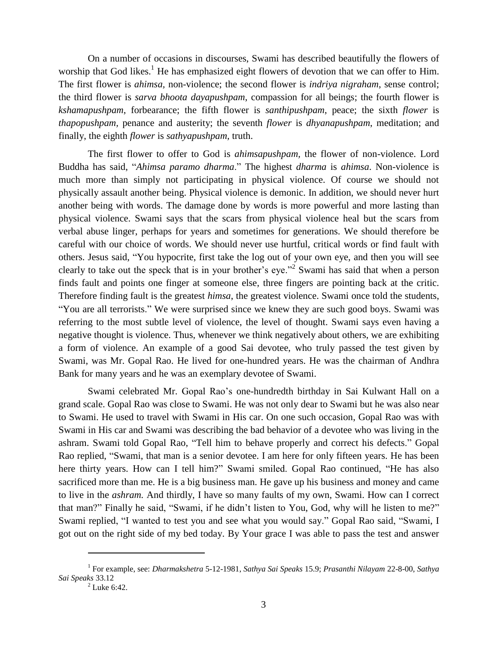On a number of occasions in discourses, Swami has described beautifully the flowers of worship that God likes.<sup>1</sup> He has emphasized eight flowers of devotion that we can offer to Him. The first flower is *ahimsa,* non-violence; the second flower is *indriya nigraham*, sense control; the third flower is *sarva bhoota dayapushpam*, compassion for all beings; the fourth flower is *kshamapushpam*, forbearance; the fifth flower is *santhipushpam*, peace; the sixth *flower* is *thapopushpam,* penance and austerity; the seventh *flower* is *dhyanapushpam*, meditation; and finally, the eighth *flower* is *sathyapushpam,* truth.

The first flower to offer to God is *ahimsapushpam,* the flower of non-violence. Lord Buddha has said, "*Ahimsa paramo dharma*." The highest *dharma* is *ahimsa*. Non-violence is much more than simply not participating in physical violence. Of course we should not physically assault another being. Physical violence is demonic. In addition, we should never hurt another being with words. The damage done by words is more powerful and more lasting than physical violence. Swami says that the scars from physical violence heal but the scars from verbal abuse linger, perhaps for years and sometimes for generations. We should therefore be careful with our choice of words. We should never use hurtful, critical words or find fault with others. Jesus said, "You hypocrite, first take the log out of your own eye, and then you will see clearly to take out the speck that is in your brother's eye."<sup>2</sup> Swami has said that when a person finds fault and points one finger at someone else, three fingers are pointing back at the critic. Therefore finding fault is the greatest *himsa*, the greatest violence. Swami once told the students, "You are all terrorists." We were surprised since we knew they are such good boys. Swami was referring to the most subtle level of violence, the level of thought. Swami says even having a negative thought is violence. Thus, whenever we think negatively about others, we are exhibiting a form of violence. An example of a good Sai devotee, who truly passed the test given by Swami, was Mr. Gopal Rao. He lived for one-hundred years. He was the chairman of Andhra Bank for many years and he was an exemplary devotee of Swami.

Swami celebrated Mr. Gopal Rao's one-hundredth birthday in Sai Kulwant Hall on a grand scale. Gopal Rao was close to Swami. He was not only dear to Swami but he was also near to Swami. He used to travel with Swami in His car. On one such occasion, Gopal Rao was with Swami in His car and Swami was describing the bad behavior of a devotee who was living in the ashram. Swami told Gopal Rao, "Tell him to behave properly and correct his defects." Gopal Rao replied, "Swami, that man is a senior devotee. I am here for only fifteen years. He has been here thirty years. How can I tell him?" Swami smiled. Gopal Rao continued, "He has also sacrificed more than me. He is a big business man. He gave up his business and money and came to live in the *ashram.* And thirdly, I have so many faults of my own, Swami. How can I correct that man?" Finally he said, "Swami, if he didn't listen to You, God, why will he listen to me?" Swami replied, "I wanted to test you and see what you would say." Gopal Rao said, "Swami, I got out on the right side of my bed today. By Your grace I was able to pass the test and answer

 $\overline{a}$ 

<sup>1</sup> For example, see: *Dharmakshetra* 5-12-1981, *Sathya Sai Speaks* 15.9; *Prasanthi Nilayam* 22-8-00, *Sathya Sai Speaks* 33.12

 $2^2$  Luke 6:42.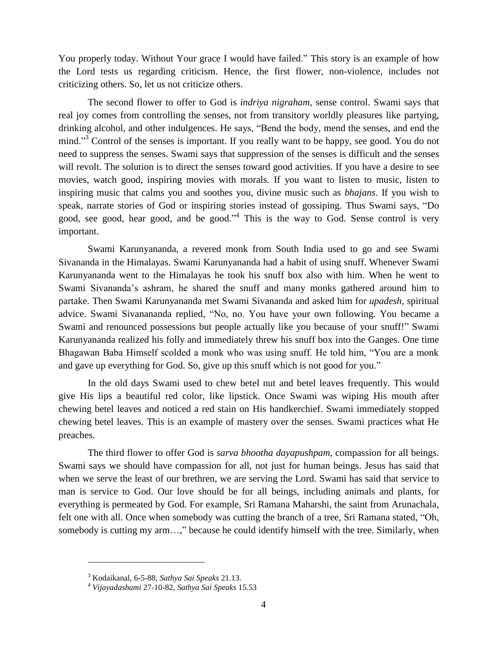You properly today. Without Your grace I would have failed." This story is an example of how the Lord tests us regarding criticism. Hence, the first flower, non-violence, includes not criticizing others. So, let us not criticize others.

The second flower to offer to God is *indriya nigraham*, sense control. Swami says that real joy comes from controlling the senses, not from transitory worldly pleasures like partying, drinking alcohol, and other indulgences. He says, "Bend the body, mend the senses, and end the mind."<sup>3</sup> Control of the senses is important. If you really want to be happy, see good. You do not need to suppress the senses. Swami says that suppression of the senses is difficult and the senses will revolt. The solution is to direct the senses toward good activities. If you have a desire to see movies, watch good, inspiring movies with morals. If you want to listen to music, listen to inspiring music that calms you and soothes you, divine music such as *bhajans*. If you wish to speak, narrate stories of God or inspiring stories instead of gossiping. Thus Swami says, "Do good, see good, hear good, and be good."<sup>4</sup> This is the way to God. Sense control is very important.

Swami Karunyananda, a revered monk from South India used to go and see Swami Sivananda in the Himalayas. Swami Karunyananda had a habit of using snuff. Whenever Swami Karunyananda went to the Himalayas he took his snuff box also with him. When he went to Swami Sivananda's ashram, he shared the snuff and many monks gathered around him to partake. Then Swami Karunyananda met Swami Sivananda and asked him for *upadesh*, spiritual advice. Swami Sivanananda replied, "No, no. You have your own following. You became a Swami and renounced possessions but people actually like you because of your snuff!" Swami Karunyananda realized his folly and immediately threw his snuff box into the Ganges. One time Bhagawan Baba Himself scolded a monk who was using snuff. He told him, "You are a monk and gave up everything for God. So, give up this snuff which is not good for you."

In the old days Swami used to chew betel nut and betel leaves frequently. This would give His lips a beautiful red color, like lipstick. Once Swami was wiping His mouth after chewing betel leaves and noticed a red stain on His handkerchief. Swami immediately stopped chewing betel leaves. This is an example of mastery over the senses. Swami practices what He preaches.

The third flower to offer God is *sarva bhootha dayapushpam*, compassion for all beings. Swami says we should have compassion for all, not just for human beings. Jesus has said that when we serve the least of our brethren, we are serving the Lord. Swami has said that service to man is service to God. Our love should be for all beings, including animals and plants, for everything is permeated by God. For example, Sri Ramana Maharshi, the saint from Arunachala, felt one with all. Once when somebody was cutting the branch of a tree, Sri Ramana stated, "Oh, somebody is cutting my arm…," because he could identify himself with the tree. Similarly, when

 $\overline{a}$ 

<sup>3</sup> Kodaikanal, 6-5-88, *Sathya Sai Speaks* 21.13.

<sup>4</sup> *Vijayadashami* 27-10-82, *Sathya Sai Speaks* 15.53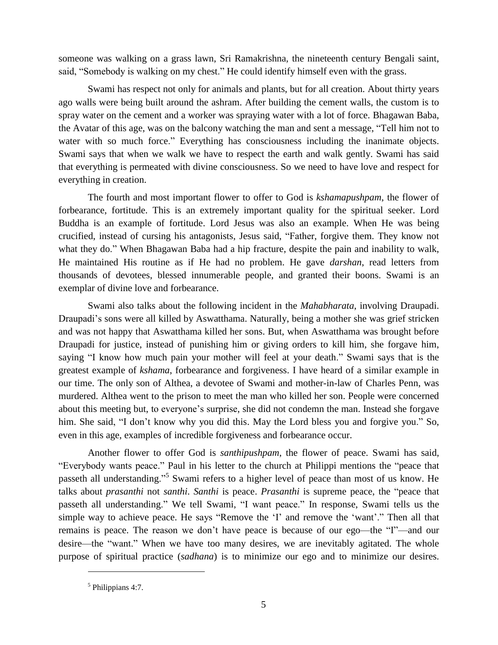someone was walking on a grass lawn, Sri Ramakrishna, the nineteenth century Bengali saint, said, "Somebody is walking on my chest." He could identify himself even with the grass.

Swami has respect not only for animals and plants, but for all creation. About thirty years ago walls were being built around the ashram. After building the cement walls, the custom is to spray water on the cement and a worker was spraying water with a lot of force. Bhagawan Baba, the Avatar of this age, was on the balcony watching the man and sent a message, "Tell him not to water with so much force." Everything has consciousness including the inanimate objects. Swami says that when we walk we have to respect the earth and walk gently. Swami has said that everything is permeated with divine consciousness. So we need to have love and respect for everything in creation.

The fourth and most important flower to offer to God is *kshamapushpam*, the flower of forbearance, fortitude. This is an extremely important quality for the spiritual seeker. Lord Buddha is an example of fortitude. Lord Jesus was also an example. When He was being crucified, instead of cursing his antagonists, Jesus said, "Father, forgive them. They know not what they do." When Bhagawan Baba had a hip fracture, despite the pain and inability to walk, He maintained His routine as if He had no problem. He gave *darshan*, read letters from thousands of devotees, blessed innumerable people, and granted their boons. Swami is an exemplar of divine love and forbearance.

Swami also talks about the following incident in the *Mahabharata*, involving Draupadi. Draupadi's sons were all killed by Aswatthama. Naturally, being a mother she was grief stricken and was not happy that Aswatthama killed her sons. But, when Aswatthama was brought before Draupadi for justice, instead of punishing him or giving orders to kill him, she forgave him, saying "I know how much pain your mother will feel at your death." Swami says that is the greatest example of *kshama*, forbearance and forgiveness. I have heard of a similar example in our time. The only son of Althea, a devotee of Swami and mother-in-law of Charles Penn, was murdered. Althea went to the prison to meet the man who killed her son. People were concerned about this meeting but, to everyone's surprise, she did not condemn the man. Instead she forgave him. She said, "I don't know why you did this. May the Lord bless you and forgive you." So, even in this age, examples of incredible forgiveness and forbearance occur.

Another flower to offer God is *santhipushpam*, the flower of peace. Swami has said, "Everybody wants peace." Paul in his letter to the church at Philippi mentions the "peace that passeth all understanding."<sup>5</sup> Swami refers to a higher level of peace than most of us know. He talks about *prasanthi* not *santhi*. *Santhi* is peace. *Prasanthi* is supreme peace, the "peace that passeth all understanding." We tell Swami, "I want peace." In response, Swami tells us the simple way to achieve peace. He says "Remove the 'I' and remove the 'want'." Then all that remains is peace. The reason we don't have peace is because of our ego—the "I"—and our desire—the "want." When we have too many desires, we are inevitably agitated. The whole purpose of spiritual practice (*sadhana*) is to minimize our ego and to minimize our desires.

 $\overline{a}$ 

<sup>&</sup>lt;sup>5</sup> Philippians 4:7.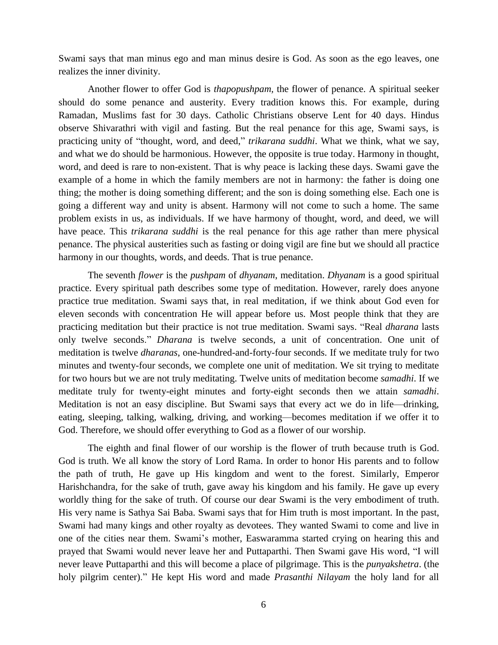Swami says that man minus ego and man minus desire is God. As soon as the ego leaves, one realizes the inner divinity.

Another flower to offer God is *thapopushpam,* the flower of penance. A spiritual seeker should do some penance and austerity. Every tradition knows this. For example, during Ramadan, Muslims fast for 30 days. Catholic Christians observe Lent for 40 days. Hindus observe Shivarathri with vigil and fasting. But the real penance for this age, Swami says, is practicing unity of "thought, word, and deed," *trikarana suddhi*. What we think, what we say, and what we do should be harmonious. However, the opposite is true today. Harmony in thought, word, and deed is rare to non-existent. That is why peace is lacking these days. Swami gave the example of a home in which the family members are not in harmony: the father is doing one thing; the mother is doing something different; and the son is doing something else. Each one is going a different way and unity is absent. Harmony will not come to such a home. The same problem exists in us, as individuals. If we have harmony of thought, word, and deed, we will have peace. This *trikarana suddhi* is the real penance for this age rather than mere physical penance. The physical austerities such as fasting or doing vigil are fine but we should all practice harmony in our thoughts, words, and deeds. That is true penance.

The seventh *flower* is the *pushpam* of *dhyanam*, meditation. *Dhyanam* is a good spiritual practice. Every spiritual path describes some type of meditation. However, rarely does anyone practice true meditation. Swami says that, in real meditation, if we think about God even for eleven seconds with concentration He will appear before us. Most people think that they are practicing meditation but their practice is not true meditation. Swami says. "Real *dharana* lasts only twelve seconds." *Dharana* is twelve seconds, a unit of concentration. One unit of meditation is twelve *dharanas*, one-hundred-and-forty-four seconds. If we meditate truly for two minutes and twenty-four seconds, we complete one unit of meditation. We sit trying to meditate for two hours but we are not truly meditating. Twelve units of meditation become *samadhi*. If we meditate truly for twenty-eight minutes and forty-eight seconds then we attain *samadhi*. Meditation is not an easy discipline. But Swami says that every act we do in life—drinking, eating, sleeping, talking, walking, driving, and working—becomes meditation if we offer it to God. Therefore, we should offer everything to God as a flower of our worship.

The eighth and final flower of our worship is the flower of truth because truth is God. God is truth. We all know the story of Lord Rama. In order to honor His parents and to follow the path of truth, He gave up His kingdom and went to the forest. Similarly, Emperor Harishchandra, for the sake of truth, gave away his kingdom and his family. He gave up every worldly thing for the sake of truth. Of course our dear Swami is the very embodiment of truth. His very name is Sathya Sai Baba. Swami says that for Him truth is most important. In the past, Swami had many kings and other royalty as devotees. They wanted Swami to come and live in one of the cities near them. Swami's mother, Easwaramma started crying on hearing this and prayed that Swami would never leave her and Puttaparthi. Then Swami gave His word, "I will never leave Puttaparthi and this will become a place of pilgrimage. This is the *punyakshetra*. (the holy pilgrim center)." He kept His word and made *Prasanthi Nilayam* the holy land for all